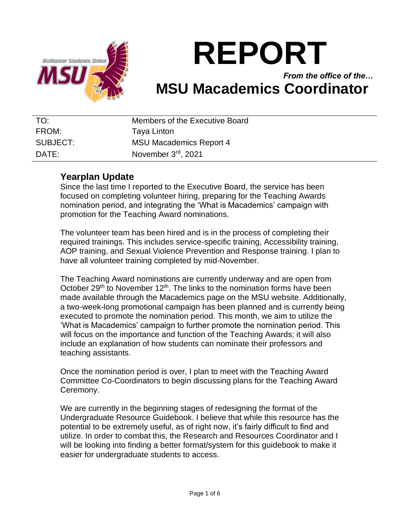

# **REPORT**

## *From the office of the…* **MSU Macademics Coordinator**

| TO:      | Members of the Executive Board |
|----------|--------------------------------|
| FROM:    | Taya Linton                    |
| SUBJECT: | <b>MSU Macademics Report 4</b> |
| DATE:    | November 3rd, 2021             |

## **Yearplan Update**

Since the last time I reported to the Executive Board, the service has been focused on completing volunteer hiring, preparing for the Teaching Awards nomination period, and integrating the 'What is Macademics' campaign with promotion for the Teaching Award nominations.

The volunteer team has been hired and is in the process of completing their required trainings. This includes service-specific training, Accessibility training, AOP training, and Sexual Violence Prevention and Response training. I plan to have all volunteer training completed by mid-November.

The Teaching Award nominations are currently underway and are open from October 29<sup>th</sup> to November 12<sup>th</sup>. The links to the nomination forms have been made available through the Macademics page on the MSU website. Additionally, a two-week-long promotional campaign has been planned and is currently being executed to promote the nomination period. This month, we aim to utilize the 'What is Macademics' campaign to further promote the nomination period. This will focus on the importance and function of the Teaching Awards; it will also include an explanation of how students can nominate their professors and teaching assistants.

Once the nomination period is over, I plan to meet with the Teaching Award Committee Co-Coordinators to begin discussing plans for the Teaching Award Ceremony.

We are currently in the beginning stages of redesigning the format of the Undergraduate Resource Guidebook. I believe that while this resource has the potential to be extremely useful, as of right now, it's fairly difficult to find and utilize. In order to combat this, the Research and Resources Coordinator and I will be looking into finding a better format/system for this guidebook to make it easier for undergraduate students to access.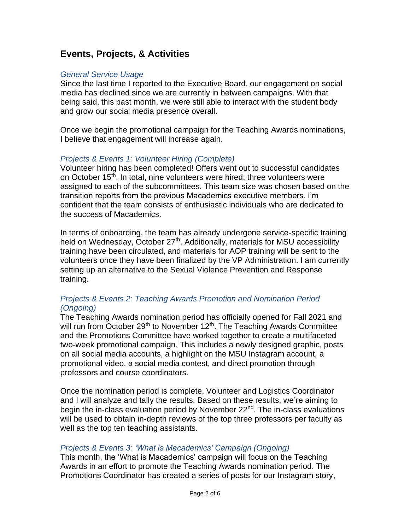## **Events, Projects, & Activities**

#### *General Service Usage*

Since the last time I reported to the Executive Board, our engagement on social media has declined since we are currently in between campaigns. With that being said, this past month, we were still able to interact with the student body and grow our social media presence overall.

Once we begin the promotional campaign for the Teaching Awards nominations, I believe that engagement will increase again.

#### *Projects & Events 1: Volunteer Hiring (Complete)*

Volunteer hiring has been completed! Offers went out to successful candidates on October 15<sup>th</sup>, In total, nine volunteers were hired; three volunteers were assigned to each of the subcommittees. This team size was chosen based on the transition reports from the previous Macademics executive members. I'm confident that the team consists of enthusiastic individuals who are dedicated to the success of Macademics.

In terms of onboarding, the team has already undergone service-specific training held on Wednesday, October 27<sup>th</sup>. Additionally, materials for MSU accessibility training have been circulated, and materials for AOP training will be sent to the volunteers once they have been finalized by the VP Administration. I am currently setting up an alternative to the Sexual Violence Prevention and Response training.

#### *Projects & Events 2: Teaching Awards Promotion and Nomination Period (Ongoing)*

The Teaching Awards nomination period has officially opened for Fall 2021 and will run from October 29<sup>th</sup> to November 12<sup>th</sup>. The Teaching Awards Committee and the Promotions Committee have worked together to create a multifaceted two-week promotional campaign. This includes a newly designed graphic, posts on all social media accounts, a highlight on the MSU Instagram account, a promotional video, a social media contest, and direct promotion through professors and course coordinators.

Once the nomination period is complete, Volunteer and Logistics Coordinator and I will analyze and tally the results. Based on these results, we're aiming to begin the in-class evaluation period by November 22<sup>nd</sup>. The in-class evaluations will be used to obtain in-depth reviews of the top three professors per faculty as well as the top ten teaching assistants.

#### *Projects & Events 3: 'What is Macademics' Campaign (Ongoing)*

This month, the 'What is Macademics' campaign will focus on the Teaching Awards in an effort to promote the Teaching Awards nomination period. The Promotions Coordinator has created a series of posts for our Instagram story,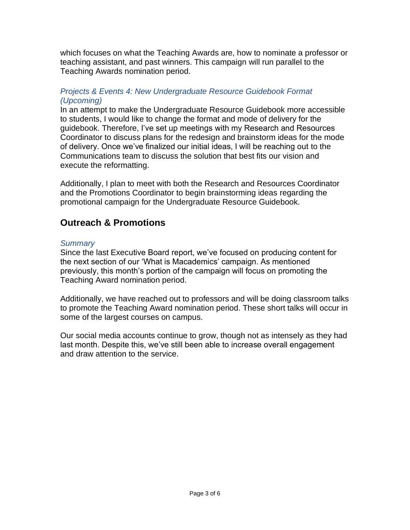which focuses on what the Teaching Awards are, how to nominate a professor or teaching assistant, and past winners. This campaign will run parallel to the Teaching Awards nomination period.

#### *Projects & Events 4: New Undergraduate Resource Guidebook Format (Upcoming)*

In an attempt to make the Undergraduate Resource Guidebook more accessible to students, I would like to change the format and mode of delivery for the guidebook. Therefore, I've set up meetings with my Research and Resources Coordinator to discuss plans for the redesign and brainstorm ideas for the mode of delivery. Once we've finalized our initial ideas, I will be reaching out to the Communications team to discuss the solution that best fits our vision and execute the reformatting.

Additionally, I plan to meet with both the Research and Resources Coordinator and the Promotions Coordinator to begin brainstorming ideas regarding the promotional campaign for the Undergraduate Resource Guidebook.

## **Outreach & Promotions**

#### *Summary*

Since the last Executive Board report, we've focused on producing content for the next section of our 'What is Macademics' campaign. As mentioned previously, this month's portion of the campaign will focus on promoting the Teaching Award nomination period.

Additionally, we have reached out to professors and will be doing classroom talks to promote the Teaching Award nomination period. These short talks will occur in some of the largest courses on campus.

Our social media accounts continue to grow, though not as intensely as they had last month. Despite this, we've still been able to increase overall engagement and draw attention to the service.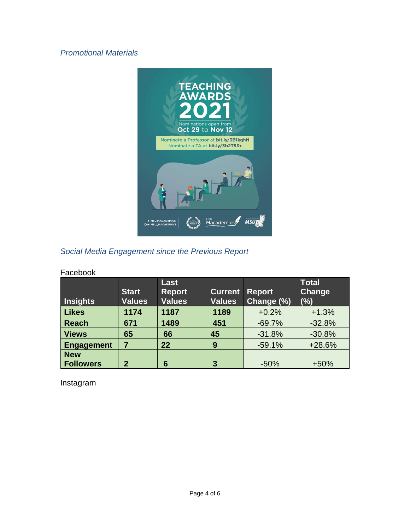### *Promotional Materials*



## *Social Media Engagement since the Previous Report*

| , uvvivon                      |                               |                                        |                                 |                             |                                      |  |
|--------------------------------|-------------------------------|----------------------------------------|---------------------------------|-----------------------------|--------------------------------------|--|
| <b>Insights</b>                | <b>Start</b><br><b>Values</b> | Last<br><b>Report</b><br><b>Values</b> | <b>Current</b><br><b>Values</b> | <b>Report</b><br>Change (%) | <b>Total</b><br><b>Change</b><br>(%) |  |
| <b>Likes</b>                   | 1174                          | 1187                                   | 1189                            | $+0.2%$                     | $+1.3%$                              |  |
| <b>Reach</b>                   | 671                           | 1489                                   | 451                             | $-69.7%$                    | $-32.8%$                             |  |
| <b>Views</b>                   | 65                            | 66                                     | 45                              | $-31.8%$                    | $-30.8%$                             |  |
| <b>Engagement</b>              |                               | 22                                     | 9                               | $-59.1%$                    | +28.6%                               |  |
| <b>New</b><br><b>Followers</b> | 2                             | 6                                      | 3                               | $-50%$                      | $+50%$                               |  |

#### Facebook

Instagram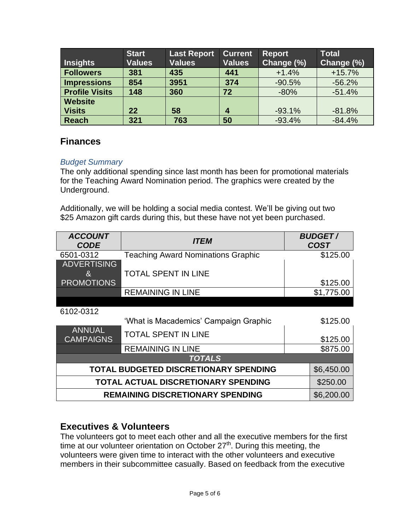| Insights              | <b>Start</b><br><b>Values</b> | <b>Last Report</b><br><b>Values</b> | <b>Current</b><br><b>Values</b> | <b>Report</b><br>Change (%) | <b>Total</b><br>Change (%) |
|-----------------------|-------------------------------|-------------------------------------|---------------------------------|-----------------------------|----------------------------|
| <b>Followers</b>      | 381                           | 435                                 | 441                             | $+1.4%$                     | $+15.7%$                   |
| Impressions           | 854                           | 3951                                | 374                             | $-90.5%$                    | $-56.2%$                   |
| <b>Profile Visits</b> | 148                           | 360                                 | 72                              | $-80%$                      | $-51.4%$                   |
| <b>Website</b>        |                               |                                     |                                 |                             |                            |
| <b>Visits</b>         | 22                            | 58                                  | 4                               | $-93.1%$                    | $-81.8%$                   |
| <b>Reach</b>          | 321                           | 763                                 | 50                              | $-93.4%$                    | $-84.4%$                   |

## **Finances**

#### *Budget Summary*

The only additional spending since last month has been for promotional materials for the Teaching Award Nomination period. The graphics were created by the Underground.

Additionally, we will be holding a social media contest. We'll be giving out two \$25 Amazon gift cards during this, but these have not yet been purchased.

| <b>ACCOUNT</b><br><b>CODE</b>                | <i><b>ITEM</b></i>                        |            | <b>BUDGET/</b><br><b>COST</b> |  |  |
|----------------------------------------------|-------------------------------------------|------------|-------------------------------|--|--|
| 6501-0312                                    | <b>Teaching Award Nominations Graphic</b> | \$125.00   |                               |  |  |
| <b>ADVERTISING</b>                           |                                           |            |                               |  |  |
| $\mathcal{E}_I$                              | <b>TOTAL SPENT IN LINE</b>                |            |                               |  |  |
| <b>PROMOTIONS</b>                            |                                           |            | \$125.00                      |  |  |
|                                              | <b>REMAINING IN LINE</b>                  |            | \$1,775.00                    |  |  |
|                                              |                                           |            |                               |  |  |
| 6102-0312                                    |                                           |            |                               |  |  |
|                                              | 'What is Macademics' Campaign Graphic     |            | \$125.00                      |  |  |
| <b>ANNUAL</b><br><b>CAMPAIGNS</b>            | <b>TOTAL SPENT IN LINE</b>                |            | \$125.00                      |  |  |
|                                              | <b>REMAINING IN LINE</b>                  |            | \$875.00                      |  |  |
| <b>TOTALS</b>                                |                                           |            |                               |  |  |
| <b>TOTAL BUDGETED DISCRETIONARY SPENDING</b> |                                           | \$6,450.00 |                               |  |  |
| TOTAL ACTUAL DISCRETIONARY SPENDING          |                                           |            | \$250.00                      |  |  |
| <b>REMAINING DISCRETIONARY SPENDING</b>      |                                           |            | \$6,200.00                    |  |  |

## **Executives & Volunteers**

The volunteers got to meet each other and all the executive members for the first time at our volunteer orientation on October  $27<sup>th</sup>$ . During this meeting, the volunteers were given time to interact with the other volunteers and executive members in their subcommittee casually. Based on feedback from the executive